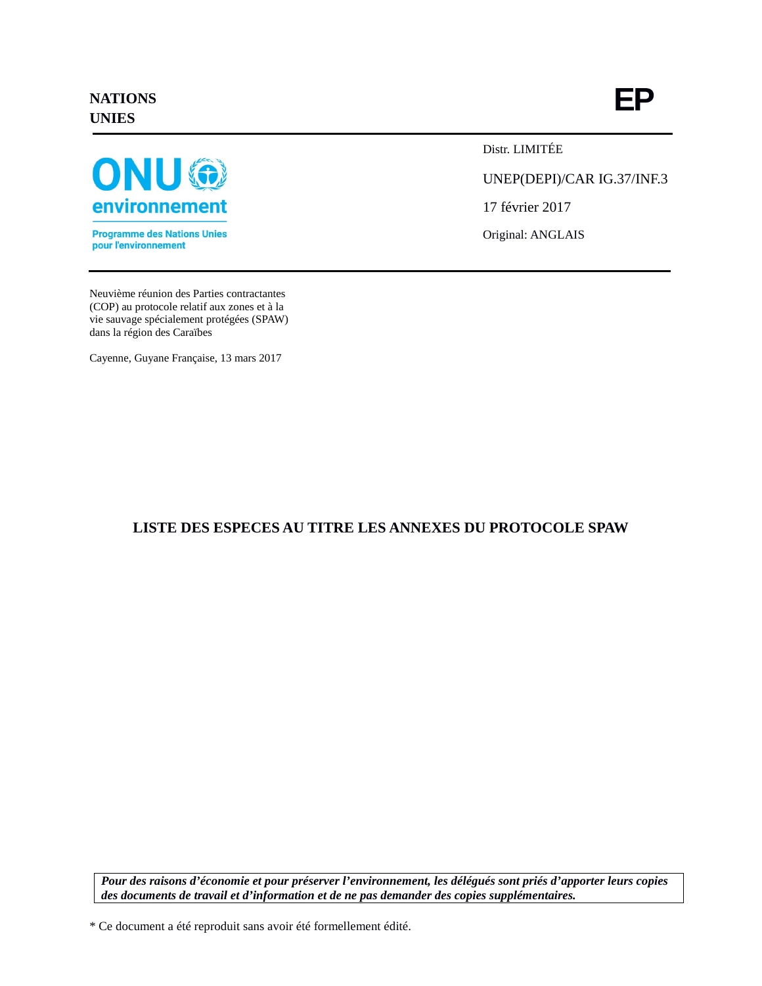## **NATIONS UNIES**



**Programme des Nations Unies** pour l'environnement

Distr. LIMITÉE

UNEP(DEPI)/CAR IG.37/INF.3

17 février 2017

Original: ANGLAIS

Neuvième réunion des Parties contractantes (COP) au protocole relatif aux zones et à la vie sauvage spécialement protégées (SPAW) dans la région des Caraïbes

Cayenne, Guyane Française, 13 mars 2017

# **LISTE DES ESPECES AU TITRE LES ANNEXES DU PROTOCOLE SPAW**

*Pour des raisons d'économie et pour préserver l'environnement, les délégués sont priés d'apporter leurs copies des documents de travail et d'information et de ne pas demander des copies supplémentaires.*

\* Ce document a été reproduit sans avoir été formellement édité.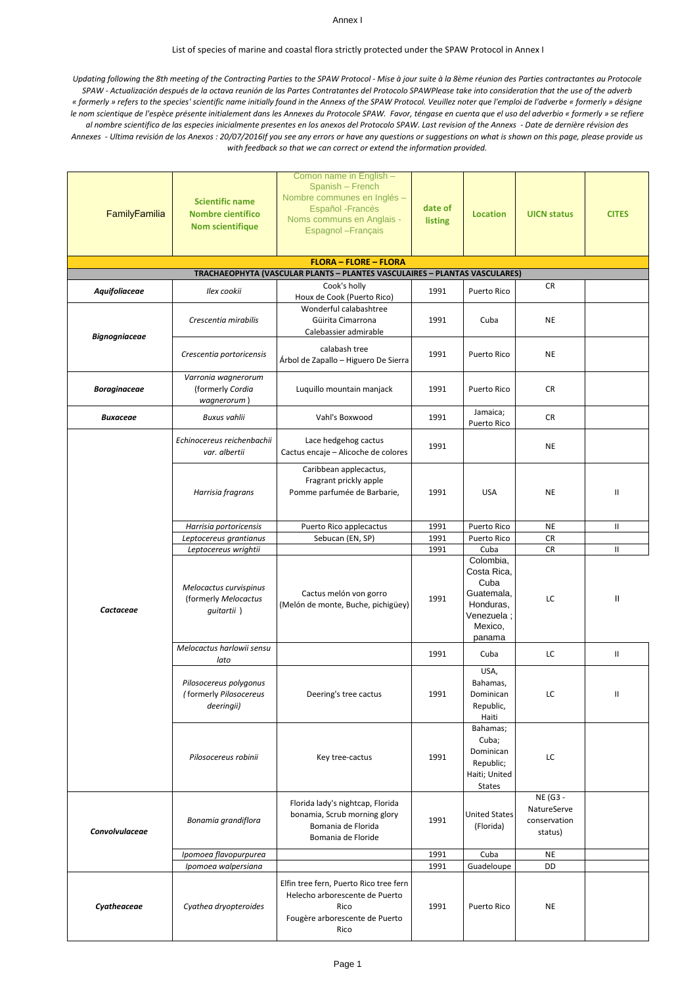### Annex I

### List of species of marine and coastal flora strictly protected under the SPAW Protocol in Annex I

*Updating following the 8th meeting of the Contracting Parties to the SPAW Protocol - Mise à jour suite à la 8ème réunion des Parties contractantes au Protocole SPAW - Actualización después de la octava reunión de las Partes Contratantes del Protocolo SPAWPlease take into consideration that the use of the adverb « formerly » refers to the species' scientific name initially found in the Annexs of the SPAW Protocol. Veuillez noter que l'emploi de l'adverbe « formerly » désigne le nom scientique de l'espèce présente initialement dans les Annexes du Protocole SPAW. Favor, téngase en cuenta que el uso del adverbio « formerly » se refiere al nombre scientifico de las especies inicialmente presentes en los anexos del Protocolo SPAW. Last revision of the Annexs - Date de dernière révision des Annexes - Ultima revisión de los Anexos : 20/07/2016If you see any errors or have any questions or suggestions on what is shown on this page, please provide us with feedback so that we can correct or extend the information provided.*

| FamilyEamilia        | <b>Scientific name</b><br><b>Nombre científico</b><br>Nom scientifique               | Comon name in English -<br>Spanish - French<br>Nombre communes en Inglés -<br>Español - Francés<br>Noms communs en Anglais -<br>Espagnol - Français | date of<br>listing | <b>Location</b>                                                                              | <b>UICN status</b>                                 | <b>CITES</b> |
|----------------------|--------------------------------------------------------------------------------------|-----------------------------------------------------------------------------------------------------------------------------------------------------|--------------------|----------------------------------------------------------------------------------------------|----------------------------------------------------|--------------|
|                      |                                                                                      | <b>FLORA - FLORE - FLORA</b>                                                                                                                        |                    |                                                                                              |                                                    |              |
|                      |                                                                                      | TRACHAEOPHYTA (VASCULAR PLANTS - PLANTES VASCULAIRES - PLANTAS VASCULARES)                                                                          |                    |                                                                                              |                                                    |              |
| Aquifoliaceae        | Ilex cookii                                                                          | Cook's holly<br>Houx de Cook (Puerto Rico)<br>Wonderful calabashtree                                                                                | 1991               | Puerto Rico                                                                                  | CR                                                 |              |
| <b>Bignogniaceae</b> | Crescentia mirabilis                                                                 | Güirita Cimarrona<br>Calebassier admirable                                                                                                          | 1991               | Cuba                                                                                         | <b>NE</b>                                          |              |
|                      | Crescentia portoricensis                                                             | calabash tree<br>Árbol de Zapallo - Higuero De Sierra                                                                                               | 1991               | Puerto Rico                                                                                  | <b>NE</b>                                          |              |
| Boraginaceae         | Varronia wagnerorum<br>(formerly Cordia<br>wagnerorum)                               | Luquillo mountain manjack                                                                                                                           | 1991               | Puerto Rico                                                                                  | <b>CR</b>                                          |              |
| <b>Buxaceae</b>      | <b>Buxus vahlii</b>                                                                  | Vahl's Boxwood                                                                                                                                      | 1991               | Jamaica;<br>Puerto Rico                                                                      | CR                                                 |              |
|                      | Echinocereus reichenbachii<br>var. albertii                                          | Lace hedgehog cactus<br>Cactus encaje - Alicoche de colores                                                                                         | 1991               |                                                                                              | <b>NE</b>                                          |              |
|                      | Harrisia fragrans                                                                    | Caribbean applecactus,<br>Fragrant prickly apple<br>Pomme parfumée de Barbarie,                                                                     | 1991               | <b>USA</b>                                                                                   | <b>NE</b>                                          | Ш            |
|                      | Harrisia portoricensis                                                               | Puerto Rico applecactus                                                                                                                             | 1991               | Puerto Rico                                                                                  | <b>NE</b>                                          | Ш            |
|                      | Leptocereus grantianus                                                               | Sebucan (EN, SP)                                                                                                                                    | 1991               | Puerto Rico                                                                                  | CR                                                 |              |
| Cactaceae            | Leptocereus wrightii<br>Melocactus curvispinus<br>(formerly Melocactus<br>guitartii) | Cactus melón von gorro<br>(Melón de monte, Buche, pichigüey)                                                                                        | 1991<br>1991       | Cuba<br>Colombia,<br>Costa Rica,<br>Cuba<br>Guatemala,<br>Honduras,<br>Venezuela;<br>Mexico, | CR<br>LC                                           | Ш<br>Ш       |
|                      | Melocactus harlowii sensu                                                            |                                                                                                                                                     | 1991               | panama<br>Cuba                                                                               | LC                                                 | Ш            |
|                      | lato<br>Pilosocereus polygonus<br>( formerly <i>Pilosocereus</i><br>deeringii)       | Deering's tree cactus                                                                                                                               | 1991               | USA,<br>Bahamas,<br>Dominican<br>Republic,<br>Haiti                                          | LC                                                 | Ш            |
|                      | Pilosocereus robinii                                                                 | Key tree-cactus                                                                                                                                     | 1991               | Bahamas;<br>Cuba;<br>Dominican<br>Republic;<br>Haiti; United<br><b>States</b>                | LC                                                 |              |
| Convolvulaceae       | Bonamia grandiflora                                                                  | Florida lady's nightcap, Florida<br>bonamia, Scrub morning glory<br>Bomania de Florida<br>Bomania de Floride                                        | 1991               | <b>United States</b><br>(Florida)                                                            | NE (G3 -<br>NatureServe<br>conservation<br>status) |              |
|                      | Ipomoea flavopurpurea                                                                |                                                                                                                                                     | 1991               | Cuba                                                                                         | <b>NE</b>                                          |              |
| Cyatheaceae          | Ipomoea walpersiana<br>Cyathea dryopteroides                                         | Elfin tree fern, Puerto Rico tree fern<br>Helecho arborescente de Puerto<br>Rico<br>Fougère arborescente de Puerto<br>Rico                          | 1991<br>1991       | Guadeloupe<br>Puerto Rico                                                                    | DD<br><b>NE</b>                                    |              |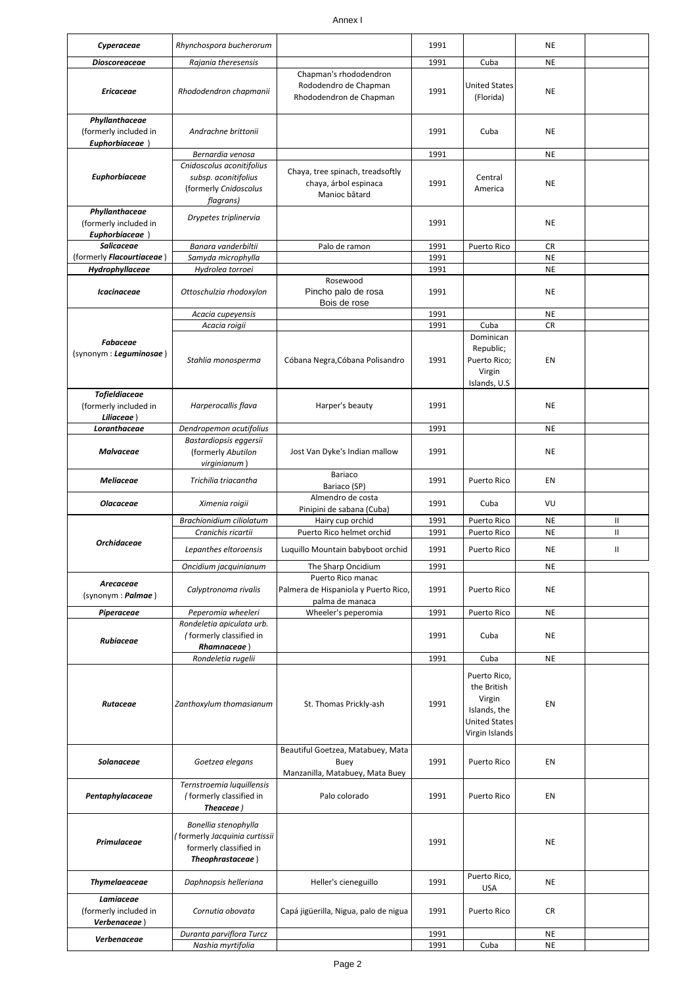### Annex I

| Cyperaceae                                                  | Rhynchospora bucherorum                                                                             |                                                                              | 1991         |                                                                                                 | NE                     |                    |
|-------------------------------------------------------------|-----------------------------------------------------------------------------------------------------|------------------------------------------------------------------------------|--------------|-------------------------------------------------------------------------------------------------|------------------------|--------------------|
|                                                             |                                                                                                     |                                                                              |              |                                                                                                 |                        |                    |
| <b>Dioscoreaceae</b>                                        | Rajania theresensis                                                                                 |                                                                              | 1991         | Cuba                                                                                            | <b>NE</b>              |                    |
| <b>Ericaceae</b>                                            | Rhododendron chapmanii                                                                              | Chapman's rhododendron<br>Rododendro de Chapman<br>Rhododendron de Chapman   | 1991         | <b>United States</b><br>(Florida)                                                               | NE                     |                    |
| Phyllanthaceae<br>(formerly included in<br>Euphorbiaceae    | Andrachne brittonii                                                                                 |                                                                              | 1991         | Cuba                                                                                            | <b>NE</b>              |                    |
|                                                             | Bernardia venosa                                                                                    |                                                                              | 1991         |                                                                                                 | NE                     |                    |
| Euphorbiaceae                                               | Cnidoscolus aconitifolius<br>subsp. aconitifolius<br>(formerly Cnidoscolus<br>flagrans)             | Chaya, tree spinach, treadsoftly<br>chaya, árbol espinaca<br>Manioc bâtard   | 1991         | Central<br>America                                                                              | NE                     |                    |
| Phyllanthaceae<br>(formerly included in<br>Euphorbiaceae    | Drypetes triplinervia                                                                               |                                                                              | 1991         |                                                                                                 | NE                     |                    |
| <b>Salicaceae</b>                                           | Banara vanderbiltii                                                                                 | Palo de ramon                                                                | 1991         | Puerto Rico                                                                                     | CR                     |                    |
| (formerly <i>Flacourtiaceae</i> )                           | Samyda microphylla                                                                                  |                                                                              | 1991         |                                                                                                 | <b>NE</b>              |                    |
| Hydrophyllaceae                                             | Hydrolea torroei                                                                                    |                                                                              | 1991         |                                                                                                 | <b>NE</b>              |                    |
| <b>Icacinaceae</b>                                          | Ottoschulzia rhodoxylon                                                                             | Rosewood<br>Pincho palo de rosa<br>Bois de rose                              | 1991         |                                                                                                 | NE                     |                    |
|                                                             | Acacia cupeyensis                                                                                   |                                                                              | 1991         |                                                                                                 | <b>NE</b>              |                    |
| <b>Fabaceae</b><br>(synonym : Leguminosae)                  | Acacia roigii<br>Stahlia monosperma                                                                 | Cóbana Negra, Cóbana Polisandro                                              | 1991<br>1991 | Cuba<br>Dominican<br>Republic;<br>Puerto Rico;<br>Virgin<br>Islands, U.S.                       | <b>CR</b><br>EN        |                    |
| <b>Tofieldiaceae</b><br>(formerly included in<br>Liliaceae) | Harperocallis flava                                                                                 | Harper's beauty                                                              | 1991         |                                                                                                 | NE                     |                    |
| Loranthaceae                                                | Dendropemon acutifolius                                                                             |                                                                              | 1991         |                                                                                                 | <b>NE</b>              |                    |
| <b>Malvaceae</b>                                            | Bastardiopsis eggersii<br>(formerly Abutilon<br>virginianum                                         | Jost Van Dyke's Indian mallow                                                | 1991         |                                                                                                 | NE                     |                    |
| <b>Meliaceae</b>                                            | Trichilia triacantha                                                                                | Bariaco<br>Bariaco (SP)                                                      | 1991         | Puerto Rico                                                                                     | EN                     |                    |
| <b>Olacaceae</b>                                            | Ximenia roigii                                                                                      | Almendro de costa<br>Pinipini de sabana (Cuba)                               | 1991         | Cuba                                                                                            | VU                     |                    |
|                                                             | Brachionidium ciliolatum<br>Cranichis ricartii                                                      | Hairy cup orchid<br>Puerto Rico helmet orchid                                | 1991<br>1991 | Puerto Rico<br>Puerto Rico                                                                      | <b>NE</b><br><b>NE</b> | Ш<br>$\mathsf{II}$ |
| <b>Orchidaceae</b>                                          | Lepanthes eltoroensis                                                                               | Luquillo Mountain babyboot orchid                                            | 1991         | Puerto Rico                                                                                     | <b>NE</b>              | Ш                  |
|                                                             | Oncidium jacquinianum                                                                               | The Sharp Oncidium                                                           | 1991         |                                                                                                 | <b>NE</b>              |                    |
| Arecaceae<br>(synonym: Palmae)                              | Calyptronoma rivalis                                                                                | Puerto Rico manac<br>Palmera de Hispaniola y Puerto Rico,<br>palma de manaca | 1991         | Puerto Rico                                                                                     | NE                     |                    |
| Piperaceae                                                  | Peperomia wheeleri                                                                                  | Wheeler's peperomia                                                          | 1991         | Puerto Rico                                                                                     | <b>NE</b>              |                    |
| Rubiaceae                                                   | Rondeletia apiculata urb.<br>(formerly classified in<br>Rhamnaceae)                                 |                                                                              | 1991         | Cuba                                                                                            | NE                     |                    |
|                                                             | Rondeletia rugelii                                                                                  |                                                                              | 1991         | Cuba                                                                                            | <b>NE</b>              |                    |
| Rutaceae                                                    | Zanthoxylum thomasianum                                                                             | St. Thomas Prickly-ash                                                       | 1991         | Puerto Rico,<br>the British<br>Virgin<br>Islands, the<br><b>United States</b><br>Virgin Islands | EN                     |                    |
| Solanaceae                                                  | Goetzea elegans                                                                                     | Beautiful Goetzea, Matabuey, Mata<br>Buey<br>Manzanilla, Matabuey, Mata Buey | 1991         | Puerto Rico                                                                                     | EN                     |                    |
| Pentaphylacaceae                                            | Ternstroemia luquillensis<br>(formerly classified in<br>Theaceae)                                   | Palo colorado                                                                | 1991         | Puerto Rico                                                                                     | EN                     |                    |
| Primulaceae                                                 | Bonellia stenophylla<br>(formerly Jacquinia curtissii<br>formerly classified in<br>Theophrastaceae) |                                                                              | 1991         |                                                                                                 | <b>NE</b>              |                    |
| <b>Thymelaeaceae</b>                                        | Daphnopsis helleriana                                                                               | Heller's cieneguillo                                                         | 1991         | Puerto Rico,<br>USA                                                                             | <b>NE</b>              |                    |
| Lamiaceae<br>(formerly included in<br>Verbenaceae)          | Cornutia obovata                                                                                    | Capá jigüerilla, Nigua, palo de nigua                                        | 1991         | Puerto Rico                                                                                     | CR                     |                    |
| Verbenaceae                                                 | Duranta parviflora Turcz                                                                            |                                                                              | 1991         |                                                                                                 | NE                     |                    |
|                                                             | Nashia myrtifolia                                                                                   |                                                                              | 1991         | Cuba                                                                                            | <b>NE</b>              |                    |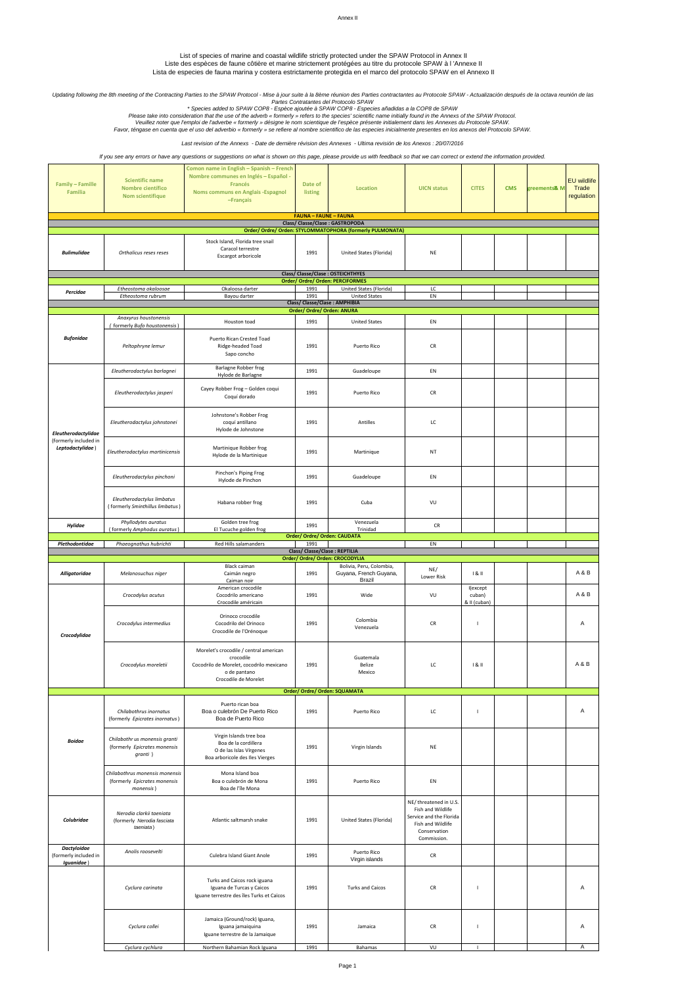#### Annex II

List of species of marine and coastal wildlife strictly protected under the SPAW Protocol in Annex II

Liste des espèces de faune côtière et marine strictement protégées au titre du protocole SPAW à l 'Annexe II Lista de especies de fauna marina y costera estrictamente protegida en el marco del protocolo SPAW en el Annexo II

Updating following the 8th meeting of the Contracting Parties to the SPAW Protocol - Mise à jour suite à la 8ème réunion des Parties contractantes au Protocole SPAW - Actualización después de la octava reunión de las<br>• Spe

*Last revision of the Annexs - Date de dernière révision des Annexes - Ultima revisión de los Anexos : 20/07/2016*

*If you see any errors or have any questions or suggestions on what is shown on this page, please provide us with feedback so that we can correct or extend the information provided.*

| Family - Famille<br>Familia                               | <b>Scientific name</b><br>Nombre científico<br>Nom scientifique             | Comon name in English - Spanish - French<br>Nombre communes en Inglés - Español -<br>Francés<br>Noms communs en Anglais -Espagnol<br>-Français | Date of<br>listing             | Location                                                              | <b>UICN status</b>                                                                                                         | <b>CITES</b>                       | <b>CMS</b> | greements <mark>&amp;</mark> M | <b>EU</b> wildlife<br>Trade<br>regulation |
|-----------------------------------------------------------|-----------------------------------------------------------------------------|------------------------------------------------------------------------------------------------------------------------------------------------|--------------------------------|-----------------------------------------------------------------------|----------------------------------------------------------------------------------------------------------------------------|------------------------------------|------------|--------------------------------|-------------------------------------------|
|                                                           |                                                                             |                                                                                                                                                | <b>FAUNA - FAUNE - FAUNA</b>   | Class/ Classe/Clase : GASTROPODA                                      |                                                                                                                            |                                    |            |                                |                                           |
|                                                           |                                                                             |                                                                                                                                                |                                | Order/ Ordre/ Orden: STYLOMMATOPHORA (formerly PULMONATA)             |                                                                                                                            |                                    |            |                                |                                           |
| <b>Bulimulidae</b>                                        | Orthalicus reses reses                                                      | Stock Island, Florida tree snail<br>Caracol terrestre<br>Escargot arboricole                                                                   | 1991                           | United States (Florida)                                               | NE                                                                                                                         |                                    |            |                                |                                           |
|                                                           |                                                                             |                                                                                                                                                |                                | Class/ Classe/Clase: OSTEICHTHYES<br>Order/ Ordre/ Orden: PERCIFORMES |                                                                                                                            |                                    |            |                                |                                           |
| Percidae                                                  | Etheostoma okaloosae                                                        | Okaloosa darter                                                                                                                                | 1991                           | United States (Florida)                                               | LC                                                                                                                         |                                    |            |                                |                                           |
|                                                           | Etheostoma rubrum                                                           | Bayou darter                                                                                                                                   | 1991                           | <b>United States</b><br>Class/ Classe/Clase: AMPHIBIA                 | EN                                                                                                                         |                                    |            |                                |                                           |
|                                                           |                                                                             |                                                                                                                                                | Order/ Ordre/ Orden: ANURA     |                                                                       |                                                                                                                            |                                    |            |                                |                                           |
|                                                           | Anaxyrus houstonensis<br>(formerly Bufo houstonensis)                       | Houston toad                                                                                                                                   | 1991                           | <b>United States</b>                                                  | EN                                                                                                                         |                                    |            |                                |                                           |
| <b>Bufonidae</b>                                          | Peltophryne lemur                                                           | Puerto Rican Crested Toad<br>Ridge-headed Toad<br>Sapo concho                                                                                  | 1991                           | Puerto Rico                                                           | CR                                                                                                                         |                                    |            |                                |                                           |
|                                                           | Eleutherodactylus barlagnei                                                 | Barlagne Robber frog                                                                                                                           | 1991                           | Guadeloupe                                                            | EN                                                                                                                         |                                    |            |                                |                                           |
|                                                           |                                                                             | Hylode de Barlagne                                                                                                                             |                                |                                                                       |                                                                                                                            |                                    |            |                                |                                           |
|                                                           | Eleutherodactylus jasperi                                                   | Cayey Robber Frog - Golden coqui<br>Coquí dorado                                                                                               | 1991                           | Puerto Rico                                                           | CR                                                                                                                         |                                    |            |                                |                                           |
| Eleutherodactylidae                                       | Eleutherodactylus johnstonei                                                | Johnstone's Robber Frog<br>coquí antillano<br>Hylode de Johnstone                                                                              | 1991                           | Antilles                                                              | LC                                                                                                                         |                                    |            |                                |                                           |
| (formerly included in<br>Leptodactylidae)                 | Eleutherodactylus martinicensis                                             | Martinique Robber frog<br>Hylode de la Martinique                                                                                              | 1991                           | Martinique                                                            | NT                                                                                                                         |                                    |            |                                |                                           |
|                                                           | Eleutherodactylus pinchoni                                                  | Pinchon's Piping Frog<br>Hylode de Pinchon                                                                                                     | 1991                           | Guadeloupe                                                            | EN                                                                                                                         |                                    |            |                                |                                           |
|                                                           | Eleutherodactylus limbatus<br>(formerly Sminthillus limbatus)               | Habana robber frog                                                                                                                             | 1991                           | Cuba                                                                  | VU                                                                                                                         |                                    |            |                                |                                           |
| Hylidae                                                   | Phyllodytes auratus<br>(formerly Amphodus auratus)                          | Golden tree frog<br>El Tucuche golden frog                                                                                                     | 1991                           | Venezuela<br>Trinidad                                                 | CR                                                                                                                         |                                    |            |                                |                                           |
| Plethodontidae                                            | Phaeognathus hubrichti                                                      | Red Hills salamanders                                                                                                                          | 1991                           | Order/ Ordre/ Orden: CAUDATA                                          | EN                                                                                                                         |                                    |            |                                |                                           |
|                                                           |                                                                             |                                                                                                                                                | Class/ Classe/Clase : REPTILIA |                                                                       |                                                                                                                            |                                    |            |                                |                                           |
|                                                           |                                                                             |                                                                                                                                                |                                | Order/ Ordre/ Orden: CROCODYLIA                                       |                                                                                                                            |                                    |            |                                |                                           |
|                                                           |                                                                             | Black caiman                                                                                                                                   |                                |                                                                       |                                                                                                                            |                                    |            |                                |                                           |
| <b>Alligatoridae</b>                                      | Melanosuchus niger                                                          | Caimán negro                                                                                                                                   | 1991                           | Bolivia, Peru, Colombia,<br>Guyana, French Guyana,                    | NE/<br>Lower Risk                                                                                                          | 181                                |            |                                | A & B                                     |
|                                                           | Crocodylus acutus                                                           | Caiman noir<br>American crocodile<br>Cocodrilo americano<br>Crocodile américain                                                                | 1991                           | Brazil<br>Wide                                                        | VU                                                                                                                         | I(except<br>cuban)<br>& II (cuban) |            |                                | A&B                                       |
| Crocodylidae                                              | Crocodylus intermedius                                                      | Orinoco crocodile<br>Cocodrilo del Orinoco<br>Crocodile de l'Orénoque                                                                          | 1991                           | Colombia<br>Venezuela                                                 | CR                                                                                                                         | I.                                 |            |                                | Α                                         |
|                                                           | Crocodylus moreletii                                                        | Morelet's crocodile / central american<br>crocodile<br>Cocodrilo de Morelet, cocodrilo mexicano<br>o de pantano<br>Crocodile de Morelet        | 1991                           | Guatemala<br>Belize<br>Mexico                                         | LC                                                                                                                         | 181                                |            |                                | A & B                                     |
|                                                           |                                                                             |                                                                                                                                                |                                | Order/ Ordre/ Orden: SQUAMATA                                         |                                                                                                                            |                                    |            |                                |                                           |
|                                                           | Chilabothrus inornatus<br>(formerly Epicrates inornatus)                    | Puerto rican boa<br>Boa o culebrón De Puerto Rico<br>Boa de Puerto Rico                                                                        | 1991                           | Puerto Rico                                                           | LC                                                                                                                         | I.                                 |            |                                | Α                                         |
| <b>Boidae</b>                                             | Chilabothr us monensis granti<br>(formerly Epicrates monensis<br>granti)    | Virgin Islands tree boa<br>Boa de la cordillera<br>O de las Islas Vírgenes<br>Boa arboricole des Iles Vierges                                  | 1991                           | Virgin Islands                                                        | NE                                                                                                                         |                                    |            |                                |                                           |
|                                                           | Chilabothrus monensis monensis<br>(formerly Epicrates monensis<br>monensis) | Mona Island boa<br>Boa o culebrón de Mona<br>Boa de l'île Mona                                                                                 | 1991                           | Puerto Rico                                                           | EN                                                                                                                         |                                    |            |                                |                                           |
| Colubridae                                                | Nerodia clarkii taeniata<br>(formerly Nerodia fasciata<br>taeniata)         | Atlantic saltmarsh snake                                                                                                                       | 1991                           | United States (Florida)                                               | NE/ threatened in U.S.<br>Fish and Wildlife<br>Service and the Florida<br>Fish and Wildlife<br>Conservation<br>Commission. |                                    |            |                                |                                           |
| <b>Dactyloidae</b><br>(formerly included in<br>Iguanidae) | Anolis roosevelti                                                           | Culebra Island Giant Anole                                                                                                                     | 1991                           | Puerto Rico<br>Virgin islands                                         | CR                                                                                                                         |                                    |            |                                |                                           |
|                                                           | Cyclura carinata                                                            | Turks and Caicos rock iguana<br>Iguana de Turcas y Caicos<br>Iguane terrestre des îles Turks et Caïcos                                         | 1991                           | <b>Turks and Caicos</b>                                               | CR                                                                                                                         | $\mathbf{I}$                       |            |                                | Α                                         |
|                                                           | Cyclura collei                                                              | Jamaica (Ground/rock) Iguana,<br>Iguana jamaiquina<br>Iguane terrestre de la Jamaique                                                          | 1991                           | Jamaica                                                               | CR                                                                                                                         | J.                                 |            |                                | Α                                         |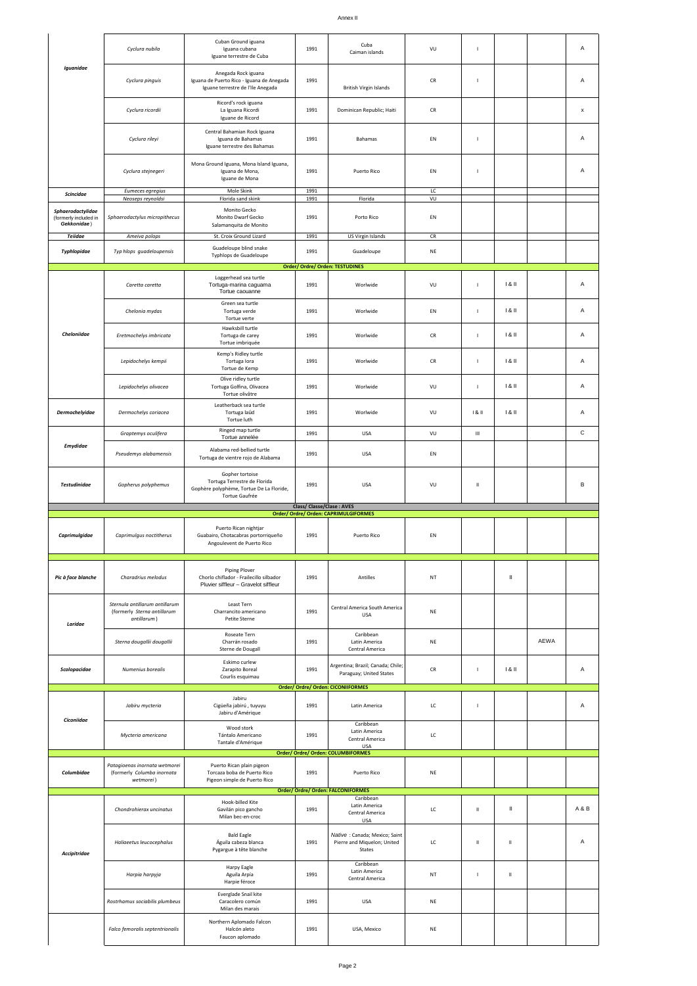|                                                           | Cyclura nubila                                                               | Cuban Ground iguana<br>Iguana cubana<br>Iguane terrestre de Cuba                                              | 1991                     | Cuba<br>Caiman islands                                                  | VU               | $\mathbf{I}$   |                |      | Α           |
|-----------------------------------------------------------|------------------------------------------------------------------------------|---------------------------------------------------------------------------------------------------------------|--------------------------|-------------------------------------------------------------------------|------------------|----------------|----------------|------|-------------|
| Iguanidae                                                 | Cyclura pinguis                                                              | Anegada Rock iguana<br>Iguana de Puerto Rico - Iguana de Anegada<br>Iguane terrestre de l'Ile Anegada         | 1991                     | <b>British Virgin Islands</b>                                           | CR               |                |                |      | Α           |
|                                                           | Cyclura ricordii                                                             | Ricord's rock iguana<br>La Iguana Ricordi<br>Iguane de Ricord                                                 | 1991                     | Dominican Republic; Haiti                                               | CR               |                |                |      | x           |
|                                                           | Cyclura rileyi                                                               | Central Bahamian Rock Iguana<br>Iguana de Bahamas<br>Iguane terrestre des Bahamas                             | 1991                     | <b>Bahamas</b>                                                          | EN               | $\mathbf{I}$   |                |      | Α           |
|                                                           | Cyclura stejnegeri                                                           | Mona Ground Iguana, Mona Island Iguana,<br>Iguana de Mona,<br>Iguane de Mona                                  | 1991                     | Puerto Rico                                                             | EN               | $\mathbf{I}$   |                |      | Α           |
| <b>Scincidae</b>                                          | Eumeces egregius                                                             | Mole Skink                                                                                                    | 1991                     |                                                                         | LC               |                |                |      |             |
|                                                           | Neoseps reynoldsi                                                            | Florida sand skink                                                                                            | 1991                     | Florida                                                                 | VU               |                |                |      |             |
| Sphaerodactylidae<br>(formerly included in<br>Gekkonidae) | Sphaerodactylus micropithecus                                                | Monito Gecko<br>Monito Dwarf Gecko<br>Salamanquita de Monito                                                  | 1991                     | Porto Rico                                                              | EN               |                |                |      |             |
| <b>Teiidae</b><br>Typhlopidae                             | Ameiva polops<br>Typ hlops guadeloupensis                                    | St. Croix Ground Lizard<br>Guadeloupe blind snake<br>Typhlops de Guadeloupe                                   | 1991<br>1991             | US Virgin Islands<br>Guadeloupe                                         | ${\sf CR}$<br>NE |                |                |      |             |
|                                                           |                                                                              |                                                                                                               |                          | Order/ Ordre/ Orden: TESTUDINES                                         |                  |                |                |      |             |
|                                                           |                                                                              | Loggerhead sea turtle                                                                                         |                          |                                                                         |                  |                |                |      |             |
|                                                           | Caretta caretta                                                              | Tortuga-marina caguama<br>Tortue caouanne<br>Green sea turtle                                                 | 1991                     | Worlwide                                                                | VU               | $\blacksquare$ | 181            |      | Α           |
|                                                           | Chelonia mydas                                                               | Tortuga verde<br>Tortue verte<br>Hawksbill turtle                                                             | 1991                     | Worlwide                                                                | EN               | $\blacksquare$ | 181            |      | Α           |
| Cheloniidae                                               | Eretmochelys imbricata                                                       | Tortuga de carey<br>Tortue imbriquée                                                                          | 1991                     | Worlwide                                                                | CR               | $\mathbf{I}$   | 181            |      | Α           |
|                                                           | Lepidochelys kempii                                                          | Kemp's Ridley turtle<br>Tortuga lora<br>Tortue de Kemp                                                        | 1991                     | Worlwide                                                                | CR               | $\mathbf{I}$   | 181            |      | Α           |
|                                                           | Lepidochelys olivacea                                                        | Olive ridley turtle<br>Tortuga Golfina, Olivacea<br>Tortue olivâtre                                           | 1991                     | Worlwide                                                                | VU               |                | 181            |      | Α           |
| <b>Dermochelyidae</b>                                     | Dermochelys coriacea                                                         | Leatherback sea turtle<br>Tortuga laúd<br>Tortue luth                                                         | 1991                     | Worlwide                                                                | VU               | 181            | 181            |      | Α           |
|                                                           | Graptemys oculifera                                                          | Ringed map turtle<br>Tortue annelée                                                                           | 1991                     | <b>USA</b>                                                              | VU               | Ш              |                |      | $\mathbf C$ |
| <b>Emydidae</b>                                           | Pseudemys alabamensis                                                        | Alabama red-bellied turtle<br>Tortuga de vientre rojo de Alabama                                              | 1991                     | <b>USA</b>                                                              | EN               |                |                |      |             |
| <b>Testudinidae</b>                                       | Gopherus polyphemus                                                          | Gopher tortoise<br>Tortuga Terrestre de Florida<br>Gophère polyphème, Tortue De La Floride,<br>Tortue Gaufrée | 1991                     | <b>USA</b>                                                              | VU               | $\rm H$        |                |      | в           |
|                                                           |                                                                              |                                                                                                               | Class/Classe/Clase: AVES | Order/ Ordre/ Orden: CAPRIMULGIFORMES                                   |                  |                |                |      |             |
|                                                           |                                                                              |                                                                                                               |                          |                                                                         |                  |                |                |      |             |
| Caprimulgidae                                             | Caprimulgus noctitherus                                                      | Puerto Rican nightjar<br>Guabairo, Chotacabras portorriqueño<br>Angoulevent de Puerto Rico                    | 1991                     | Puerto Rico                                                             | EN               |                |                |      |             |
| Pic à face blanche                                        | Charadrius melodus                                                           | <b>Piping Plover</b><br>Chorlo chiflador - Frailecillo silbador<br>Pluvier siffleur - Gravelot siffleur       | 1991                     | Antilles                                                                | NT               |                | $\,$ II        |      |             |
| Laridae                                                   | Sternula antillarum antillarum<br>(formerly Sterna antillarum<br>antillarum) | Least Tern<br>Charrancito americano<br>Petite Sterne                                                          | 1991                     | Central America South America<br>USA                                    | NE               |                |                |      |             |
|                                                           | Sterna dougallii dougallii                                                   | Roseate Tern<br>Charrán rosado<br>Sterne de Dougall                                                           | 1991                     | Caribbean<br>Latin America<br>Central America                           | NE               |                |                | AEWA |             |
| Scolopacidae                                              | Numenius borealis                                                            | Eskimo curlew<br>Zarapito Boreal<br>Courlis esquimau                                                          | 1991                     | Argentina; Brazil; Canada; Chile;<br>Paraguay; United States            | CR               | $\mathbf{I}$   | 181            |      | Α           |
|                                                           |                                                                              |                                                                                                               |                          | Order/ Ordre/ Orden: CICONIIFORMES                                      |                  |                |                |      |             |
| Ciconiidae                                                | Jabiru mycteria                                                              | Jabiru<br>Cigüeña jabirú, tuyuyu<br>Jabiru d'Amérique                                                         | 1991                     | Latin America                                                           | LC               |                |                |      | Α           |
|                                                           | Mycteria americana                                                           | Wood stork<br>Tántalo Americano<br>Tantale d'Amérique                                                         | 1991                     | Caribbean<br>Latin America<br>Central America<br>USA                    | LC               |                |                |      |             |
| Columbidae                                                | Patagioenas inornata wetmorei<br>(formerly Columba inornata                  | Puerto Rican plain pigeon<br>Torcaza boba de Puerto Rico                                                      | 1991                     | Order/ Ordre/ Orden: COLUMBIFORMES<br>Puerto Rico                       | NE               |                |                |      |             |
|                                                           | wetmorei)                                                                    | Pigeon simple de Puerto Rico                                                                                  |                          |                                                                         |                  |                |                |      |             |
|                                                           |                                                                              |                                                                                                               |                          | Order/ Ordre/ Orden: FALCONIFORMES<br>Caribbean                         |                  |                |                |      |             |
|                                                           | Chondrohierax uncinatus                                                      | Hook-billed Kite<br>Gavilán pico gancho<br>Milan bec-en-croc                                                  | 1991                     | Latin America<br>Central America<br><b>USA</b>                          | LC               | $\rm{II}$      | Ш              |      | A&B         |
|                                                           |                                                                              |                                                                                                               |                          |                                                                         |                  |                |                |      |             |
| <b>Accipitridae</b>                                       | Haliaeetus leucocephalus                                                     | <b>Bald Eagle</b><br>Águila cabeza blanca<br>Pygargue à tête blanche                                          | 1991                     | Native : Canada; Mexico; Saint<br>Pierre and Miquelon; United<br>States | LC               | $\rm{II}$      | $\, \parallel$ |      | Α           |
|                                                           | Harpia harpyja                                                               | Harpy Eagle<br>Aguila Arpía<br>Harpie féroce                                                                  | 1991                     | Caribbean<br>Latin America<br>Central America                           | NT               | $\mathbf{I}$   | Ш              |      |             |
|                                                           | Rostrhamus sociabilis plumbeus                                               | Everglade Snail kite<br>Caracolero común<br>Milan des marais                                                  | 1991                     | <b>USA</b>                                                              | NE               |                |                |      |             |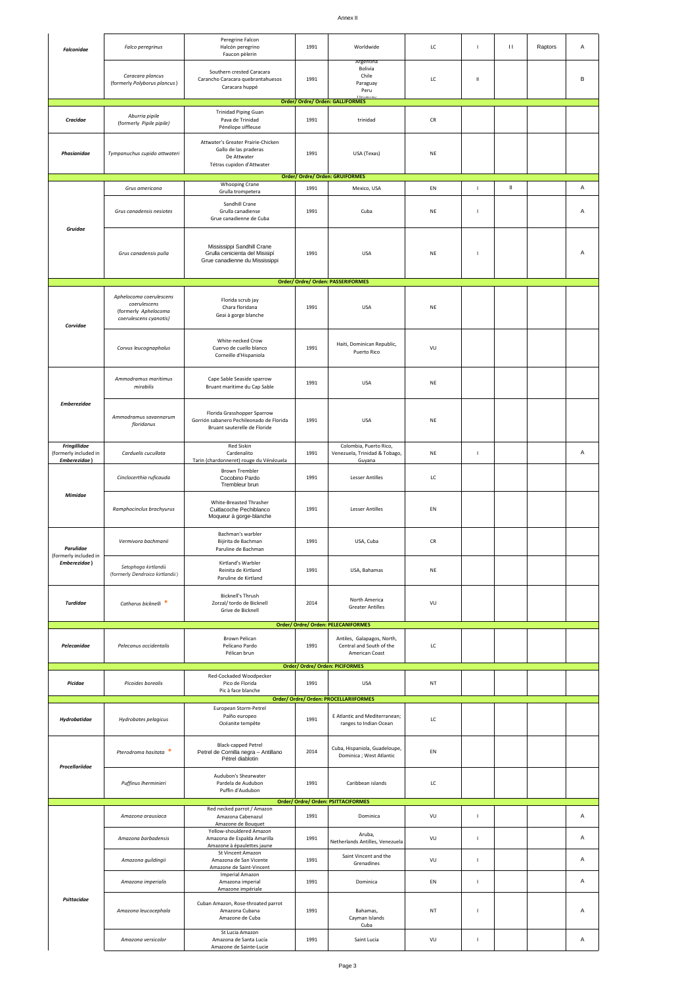#### Annex II

| <b>Falconidae</b>                                            | Falco peregrinus                                                                          | Peregrine Falcon<br>Halcón peregrino<br>Faucon pèlerin                                                  | 1991 | Worldwide                                                                                                   | LC         | $\mathbf{I}$ | $\mathbf{H}% _{0}$ | Raptors | Α |
|--------------------------------------------------------------|-------------------------------------------------------------------------------------------|---------------------------------------------------------------------------------------------------------|------|-------------------------------------------------------------------------------------------------------------|------------|--------------|--------------------|---------|---|
|                                                              | Caracara plancus<br>(formerly Polyborus plancus)                                          | Southern crested Caracara<br>Carancho Caracara quebrantahuesos<br>Caracara huppé                        | 1991 | Argentina<br>Bolivia<br>Chile<br>Paraguay<br>Peru                                                           | LC         | Ш            |                    |         | В |
|                                                              |                                                                                           |                                                                                                         |      | Order/ Ordre/ Orden: GALLIFORMES                                                                            |            |              |                    |         |   |
| Cracidae                                                     | Aburria pipile<br>(formerly Pipile pipile)                                                | <b>Trinidad Piping Guan</b><br>Pava de Trinidad<br>Pénélope siffleuse                                   | 1991 | trinidad                                                                                                    | ${\sf CR}$ |              |                    |         |   |
| Phasianidae                                                  | Tympanuchus cupido attwateri                                                              | Attwater's Greater Prairie-Chicken<br>Gallo de las praderas<br>De Attwater<br>Tétras cupidon d'Attwater | 1991 | USA (Texas)                                                                                                 | NE         |              |                    |         |   |
|                                                              |                                                                                           | <b>Whooping Crane</b>                                                                                   |      | Order/ Ordre/ Orden: GRUIFORMES                                                                             |            |              | $\,$ II            |         | Α |
|                                                              | Grus americana                                                                            | Grulla trompetera                                                                                       | 1991 | Mexico, USA                                                                                                 | EN         | $\mathbf{I}$ |                    |         |   |
| Gruidae                                                      | Grus canadensis nesiotes                                                                  | Sandhill Crane<br>Grulla canadiense<br>Grue canadienne de Cuba                                          | 1991 | Cuba                                                                                                        | NE         | I            |                    |         | Α |
|                                                              | Grus canadensis pulla                                                                     | Mississippi Sandhill Crane<br>Grulla cenicienta del Misisipí<br>Grue canadienne du Mississippi          | 1991 | <b>USA</b>                                                                                                  | NE         | ı            |                    |         | Α |
|                                                              |                                                                                           |                                                                                                         |      | Order/ Ordre/ Orden: PASSERIFORMES                                                                          |            |              |                    |         |   |
| Corvidae                                                     | Aphelocoma coerulescens<br>coerulescens<br>(formerly Aphelocoma<br>coerulescens cyanotis) | Florida scrub jay<br>Chara floridana<br>Geai à gorge blanche                                            | 1991 | <b>USA</b>                                                                                                  | NE         |              |                    |         |   |
|                                                              | Corvus leucognaphalus                                                                     | White-necked Crow<br>Cuervo de cuello blanco<br>Corneille d'Hispaniola                                  | 1991 | Haiti, Dominican Republic,<br>Puerto Rico                                                                   | VU         |              |                    |         |   |
|                                                              | Ammodramus maritimus<br>mirabilis                                                         | Cape Sable Seaside sparrow<br>Bruant maritime du Cap Sable                                              | 1991 | <b>USA</b>                                                                                                  | NE         |              |                    |         |   |
| <b>Emberezidae</b>                                           | Ammodramus savannarum<br>floridanus                                                       | Florida Grasshopper Sparrow<br>Gorrión sabanero Pechileonado de Florida<br>Bruant sauterelle de Floride | 1991 | <b>USA</b>                                                                                                  | NE         |              |                    |         |   |
| <b>Fringillidae</b><br>(formerly included in<br>Emberezidae) | Carduelis cucullata                                                                       | Red Siskin<br>Cardenalito<br>Tarin (chardonneret) rouge du Vénézuela                                    | 1991 | Colombia, Puerto Rico,<br>Venezuela, Trinidad & Tobago,<br>Guyana                                           | NE         | $\mathbf{I}$ |                    |         | Α |
|                                                              | Cinclocerthia ruficauda                                                                   | <b>Brown Trembler</b><br>Cocobino Pardo<br>Trembleur brun                                               | 1991 | <b>Lesser Antilles</b>                                                                                      | LC         |              |                    |         |   |
| Mimidae                                                      | Ramphocinclus brachyurus                                                                  | White-Breasted Thrasher<br>Cuitlacoche Pechiblanco<br>Moqueur à gorge-blanche                           | 1991 | <b>Lesser Antilles</b>                                                                                      | EN         |              |                    |         |   |
| Parulidae<br>(formerly included in                           | Vermivora bachmanii                                                                       | Bachman's warbler<br>Bijirita de Bachman<br>Paruline de Bachman                                         | 1991 | USA, Cuba                                                                                                   | CR         |              |                    |         |   |
| Emberezidae)                                                 | Setophaga kirtlandii<br>(formerly Dendroica kirtlandii)                                   | Kirtland's Warbler<br>Reinita de Kirtland<br>Paruline de Kirtland                                       | 1991 | USA, Bahamas                                                                                                | NE         |              |                    |         |   |
| <b>Turdidae</b>                                              | Catharus bicknelli *                                                                      | Bicknell's Thrush<br>Zorzal/ tordo de Bicknell<br>Grive de Bicknell                                     | 2014 | North America<br><b>Greater Antilles</b><br><b>Order/ Ordre/ Orden: PELECANIFORMES</b>                      | VU         |              |                    |         |   |
| Pelecanidae                                                  | Pelecanus occidentalis                                                                    | <b>Brown Pelican</b><br>Pelícano Pardo<br>Pélican brun                                                  | 1991 | Antiles, Galapagos, North,<br>Central and South of the<br>American Coast<br>Order/ Ordre/ Orden: PICIFORMES | LC         |              |                    |         |   |
| Picidae                                                      | Picoides borealis                                                                         | Red-Cockaded Woodpecker<br>Pico de Florida<br>Pic à face blanche                                        | 1991 | <b>USA</b><br>Order/ Ordre/ Orden: PROCELLARIIFORMES                                                        | NT         |              |                    |         |   |
| Hydrobatidae                                                 | Hydrobates pelagicus                                                                      | European Storm-Petrel<br>Paíño europeo<br>Océanite tempête                                              | 1991 | E Atlantic and Mediterranean;<br>ranges to Indian Ocean                                                     | LC         |              |                    |         |   |
| Procellariidae                                               | Pterodroma hasitata                                                                       | Black-capped Petrel<br>Petrel de Cornilla negra - Antillano<br>Pétrel diablotin                         | 2014 | Cuba, Hispaniola, Guadeloupe,<br>Dominica ; West Atlantic                                                   | EN         |              |                    |         |   |
|                                                              | Puffinus Iherminieri                                                                      | Audubon's Shearwater<br>Pardela de Audubon<br>Puffin d'Audubon                                          | 1991 | Caribbean islands<br>Order/ Ordre/ Orden: PSITTACIFORMES                                                    | LC         |              |                    |         |   |
|                                                              | Amazona arausiaca                                                                         | Red necked parrot / Amazon<br>Amazona Cabenazul<br>Amazone de Bouquet<br>Yellow-shouldered Amazon       | 1991 | Dominica                                                                                                    | VU         | $\mathbf{I}$ |                    |         | Α |
|                                                              | Amazona barbadensis                                                                       | Amazona de Espalda Amarilla<br>Amazone à épaulettes jaune                                               | 1991 | Aruba,<br>Netherlands Antilles, Venezuela                                                                   | VU         | J.           |                    |         | Α |
|                                                              | Amazona guildingii                                                                        | St Vincent Amazon<br>Amazona de San Vicente<br>Amazone de Saint-Vincent                                 | 1991 | Saint Vincent and the<br>Grenadines                                                                         | VU         | $\mathbf{I}$ |                    |         | Α |
|                                                              | Amazona imperialis                                                                        | <b>Imperial Amazon</b><br>Amazona imperial<br>Amazone impériale                                         | 1991 | Dominica                                                                                                    | EN         | $\mathbf{I}$ |                    |         | Α |
| Psittacidae                                                  | Amazona leucocephala                                                                      | Cuban Amazon, Rose-throated parrot<br>Amazona Cubana<br>Amazone de Cuba                                 | 1991 | Bahamas,<br>Cayman Islands<br>Cuba                                                                          | NT         | I            |                    |         | Α |
|                                                              | Amazona versicolor                                                                        | St Lucia Amazon<br>Amazona de Santa Lucía<br>Amazone de Sainte-Lucie                                    | 1991 | Saint Lucia                                                                                                 | VU         | J.           |                    |         | Α |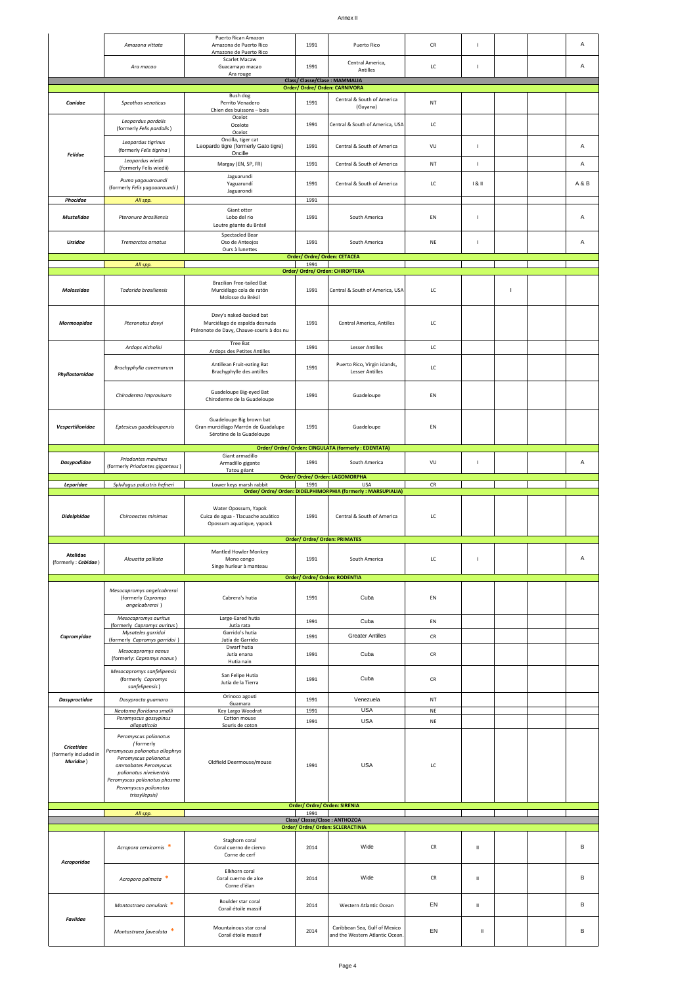|                                                        | Amazona vittata                                                                                                                                                                                                                              | Puerto Rican Amazon<br>Amazona de Puerto Rico                                                         | 1991         | Puerto Rico                                                                 | CR                | $\mathbf{I}$   |    | Α     |
|--------------------------------------------------------|----------------------------------------------------------------------------------------------------------------------------------------------------------------------------------------------------------------------------------------------|-------------------------------------------------------------------------------------------------------|--------------|-----------------------------------------------------------------------------|-------------------|----------------|----|-------|
|                                                        |                                                                                                                                                                                                                                              | Amazone de Puerto Rico<br>Scarlet Macaw                                                               | 1991         | Central America,                                                            | LC                |                |    | Α     |
|                                                        | Ara macao                                                                                                                                                                                                                                    | Guacamayo macao<br>Ara rouge                                                                          |              | Antilles<br>Class/ Classe/Clase : MAMMALIA                                  |                   | $\mathbf{I}$   |    |       |
|                                                        |                                                                                                                                                                                                                                              |                                                                                                       |              | Order/ Ordre/ Orden: CARNIVORA                                              |                   |                |    |       |
| Canidae                                                | Speothos venaticus                                                                                                                                                                                                                           | Bush dog<br>Perrito Venadero<br>Chien des buissons - bois                                             | 1991         | Central & South of America<br>(Guyana)                                      | NT                |                |    |       |
|                                                        | Leopardus pardalis<br>(formerly Felis pardalis)                                                                                                                                                                                              | Ocelot<br>Ocelote<br>Ocelot                                                                           | 1991         | Central & South of America, USA                                             | LC                |                |    |       |
| Felidae                                                | Leopardus tigrinus<br>(formerly Felis tigrina)                                                                                                                                                                                               | Oncilla, tiger cat<br>Leopardo tigre (formerly Gato tigre)<br>Oncille                                 | 1991         | Central & South of America                                                  | VU                | $\mathbf{I}$   |    | Α     |
|                                                        | Leopardus wiedii<br>(formerly Felis wiedii)                                                                                                                                                                                                  | Margay (EN, SP, FR)                                                                                   | 1991         | Central & South of America                                                  | NT                | $\mathsf I$    |    | Α     |
|                                                        | Puma yaqouaroundi<br>(formerly Felis yagouaroundi)                                                                                                                                                                                           | Jaguarundi<br>Yaguarundí<br>Jaguarondi                                                                | 1991         | Central & South of America                                                  | LC                | 181            |    | A & B |
| Phocidae                                               | All spp.                                                                                                                                                                                                                                     |                                                                                                       | 1991         |                                                                             |                   |                |    |       |
| <b>Mustelidae</b>                                      | Pteronura brasiliensis                                                                                                                                                                                                                       | Giant otter<br>Lobo del rio<br>Loutre géante du Brésil                                                | 1991         | South America                                                               | EN                | $\overline{1}$ |    | Α     |
| <b>Ursidae</b>                                         | Tremarctos ornatus                                                                                                                                                                                                                           | <b>Spectacled Bear</b><br>Oso de Anteojos<br>Ours à lunettes                                          | 1991         | South America                                                               | NE                | $\mathbf{I}$   |    | Α     |
|                                                        |                                                                                                                                                                                                                                              |                                                                                                       | 1991         | Order/ Ordre/ Orden: CETACEA                                                |                   |                |    |       |
|                                                        | All spp.                                                                                                                                                                                                                                     |                                                                                                       |              | Order/ Ordre/ Orden: CHIROPTERA                                             |                   |                |    |       |
| Molossidae                                             | Tadarida brasiliensis                                                                                                                                                                                                                        | Brazilian Free-tailed Bat<br>Murciélago cola de ratón<br>Molosse du Brésil                            | 1991         | Central & South of America, USA                                             | LC                |                | J. |       |
| Mormoopidae                                            | Pteronotus davyi                                                                                                                                                                                                                             | Davy's naked-backed bat<br>Murciélago de espalda desnuda<br>Ptéronote de Davy, Chauve-souris à dos nu | 1991         | Central America, Antilles                                                   | LC                |                |    |       |
|                                                        | Ardops nichollsi                                                                                                                                                                                                                             | Tree Bat                                                                                              | 1991         | <b>Lesser Antilles</b>                                                      | LC                |                |    |       |
|                                                        |                                                                                                                                                                                                                                              | Ardops des Petites Antilles                                                                           |              |                                                                             |                   |                |    |       |
| Phyllostomidae                                         | Brachyphylla cavernarum                                                                                                                                                                                                                      | Antillean Fruit-eating Bat<br>Brachyphylle des antilles                                               | 1991         | Puerto Rico, Virgin islands,<br><b>Lesser Antilles</b>                      | LC                |                |    |       |
|                                                        | Chiroderma improvisum                                                                                                                                                                                                                        | Guadeloupe Big-eyed Bat<br>Chiroderme de la Guadeloupe                                                | 1991         | Guadeloupe                                                                  | EN                |                |    |       |
| Vespertilionidae                                       | Eptesicus guadeloupensis                                                                                                                                                                                                                     | Guadeloupe Big brown bat<br>Gran murciélago Marrón de Guadalupe<br>Sérotine de la Guadeloupe          | 1991         | Guadeloupe                                                                  | EN                |                |    |       |
|                                                        |                                                                                                                                                                                                                                              | Giant armadillo                                                                                       |              | Order/ Ordre/ Orden: CINGULATA (formerly : EDENTATA)                        |                   |                |    |       |
| <b>Dasypodidae</b>                                     | Priodontes maximus<br>(formerly Priodontes giganteus)                                                                                                                                                                                        | Armadillo gigante<br>Tatou géant                                                                      | 1991         | South America                                                               | VU                | $\mathbf{I}$   |    | Α     |
|                                                        |                                                                                                                                                                                                                                              |                                                                                                       |              | Order/ Ordre/ Orden: LAGOMORPHA                                             |                   |                |    |       |
|                                                        |                                                                                                                                                                                                                                              |                                                                                                       |              |                                                                             |                   |                |    |       |
| Leporidae                                              | Sylvilagus palustris hefneri                                                                                                                                                                                                                 | Lower keys marsh rabbit                                                                               | 1991         | <b>USA</b><br>Order/ Ordre/ Orden: DIDELPHIMORPHIA (formerly : MARSUPIALIA) | CR                |                |    |       |
| <b>Didelphidae</b>                                     | Chironectes minimus                                                                                                                                                                                                                          | Water Opossum, Yapok<br>Cuica de agua - Tlacuache acuático<br>Opossum aquatique, yapock               | 1991         | Central & South of America                                                  | LC                |                |    |       |
| Atelidae<br>(formerly: Cebidae)                        | Alouatta palliata                                                                                                                                                                                                                            | Mantled Howler Monkey<br>Mono congo<br>Singe hurleur à manteau                                        | 1991         | <b>Order/ Ordre/ Orden: PRIMATES</b><br>South America                       | LC                | $\mathbf{I}$   |    | Α     |
|                                                        | Mesocapromys angelcabrerai<br>(formerly Capromys<br>angelcabrerai)                                                                                                                                                                           | Cabrera's hutia                                                                                       | 1991         | Order/ Ordre/ Orden: RODENTIA<br>Cuba                                       | EN                |                |    |       |
|                                                        | Mesocapromys auritus                                                                                                                                                                                                                         | Large-Eared hutia                                                                                     | 1991         | Cuba                                                                        | EN                |                |    |       |
| Capromyidae                                            | (formerly Capromys auritus)<br>Mysateles garridoi                                                                                                                                                                                            | Jutía rata<br>Garrido's hutia                                                                         | 1991         | <b>Greater Antilles</b>                                                     | CR                |                |    |       |
|                                                        | (formerly Capromys garridoi)<br>Mesocapromys nanus                                                                                                                                                                                           | Jutía de Garrido<br>Dwarf hutia<br>Jutía enana                                                        | 1991         | Cuba                                                                        | CR                |                |    |       |
|                                                        | (formerly: Capromys nanus)                                                                                                                                                                                                                   | Hutia nain                                                                                            |              |                                                                             |                   |                |    |       |
|                                                        | Mesocapromys sanfelipensis<br>(formerly Capromys<br>sanfelipensis)                                                                                                                                                                           | San Felipe Hutia<br>Jutía de la Tierra                                                                | 1991         | Cuba                                                                        | CR                |                |    |       |
| <b>Dasyproctidae</b>                                   | Dasyprocta guamara                                                                                                                                                                                                                           | Orinoco agouti<br>Guamara                                                                             | 1991         | Venezuela                                                                   | NT                |                |    |       |
|                                                        | Neotoma floridana smalli<br>Peromyscus gossypinus                                                                                                                                                                                            | Key Largo Woodrat<br>Cotton mouse                                                                     | 1991         | <b>USA</b>                                                                  | NE                |                |    |       |
| <b>Cricetidae</b><br>(formerly included in<br>Muridae) | allapaticola<br>Peromyscus polionotus<br>(formerly<br>Peromyscus polionotus allophrys<br>Peromyscus polionotus<br>ammobates Peromyscus<br>polionotus niveiventris<br>Peromyscus polionotus phasma<br>Peromyscus polionotus<br>trissyllepsis) | Souris de coton<br>Oldfield Deermouse/mouse                                                           | 1991<br>1991 | <b>USA</b><br><b>USA</b>                                                    | $_{\rm NE}$<br>LC |                |    |       |
|                                                        |                                                                                                                                                                                                                                              |                                                                                                       |              | Order/ Ordre/ Orden: SIRENIA                                                |                   |                |    |       |
|                                                        | All spp.                                                                                                                                                                                                                                     |                                                                                                       | 1991         | Class/Classe/Clase: ANTHOZOA                                                |                   |                |    |       |
|                                                        |                                                                                                                                                                                                                                              |                                                                                                       |              | Order/ Ordre/ Orden: SCLERACTINIA                                           |                   |                |    |       |
|                                                        | Acropora cervicornis *                                                                                                                                                                                                                       | Staghorn coral<br>Coral cuerno de ciervo<br>Corne de cerf                                             | 2014         | Wide                                                                        | CR                | $\rm H$        |    | в     |
| Acroporidae                                            | Acropora palmata *                                                                                                                                                                                                                           | Elkhorn coral<br>Coral cuerno de alce<br>Corne d'élan                                                 | 2014         | Wide                                                                        | CR                | $\rm H$        |    | в     |
| Faviidae                                               | Montastraea annularis *                                                                                                                                                                                                                      | Boulder star coral<br>Corail étoile massif                                                            | 2014         | Western Atlantic Ocean                                                      | EN                | $\rm H$        |    | В     |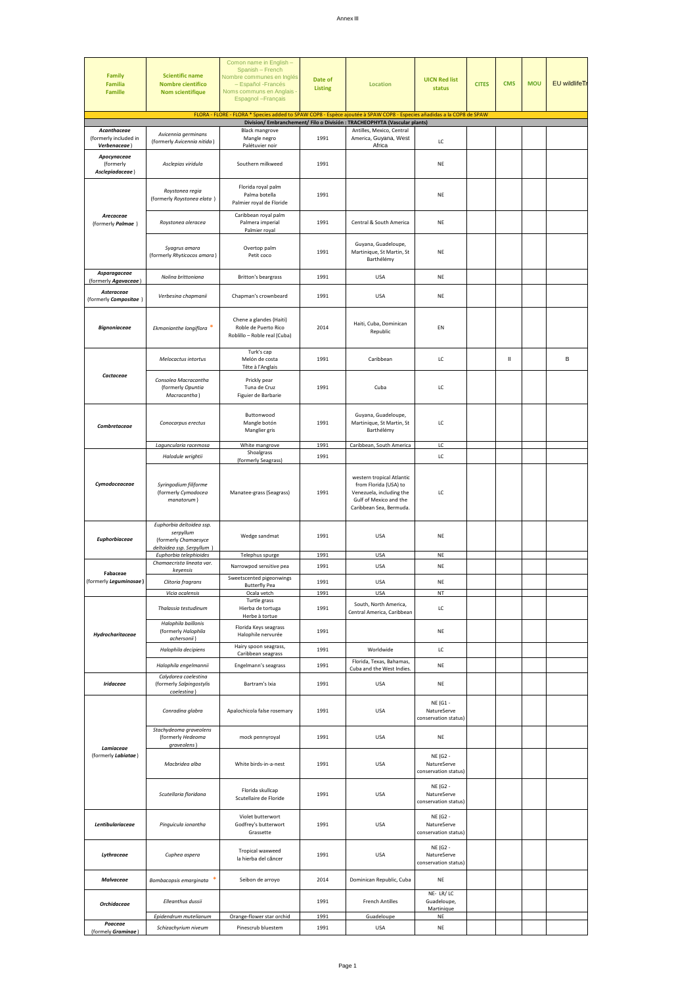| <b>Family</b><br><b>Familia</b><br>Famille           | <b>Scientific name</b><br><b>Nombre cientifico</b><br><b>Nom scientifique</b>                                       | Comon name in English -<br>Spanish - French<br>Nombre communes en Inglés<br>- Español - Francés<br>Noms communs en Anglais -<br>Espagnol - Français | Date of<br><b>Listing</b> | <b>Location</b>                                                                                                                     | <b>UICN Red list</b><br>status                  | <b>CITES</b> | <b>CMS</b> | <b>MOU</b> | <b>EU</b> wildlifeTr |
|------------------------------------------------------|---------------------------------------------------------------------------------------------------------------------|-----------------------------------------------------------------------------------------------------------------------------------------------------|---------------------------|-------------------------------------------------------------------------------------------------------------------------------------|-------------------------------------------------|--------------|------------|------------|----------------------|
|                                                      |                                                                                                                     | FLORA - FLORE - FLORA * Species added to SPAW COP8 - Espèce ajoutée à SPAW COP8 - Especies añadidas a la COP8 de SPAW                               |                           | Division/Embranchement/Filo o División: TRACHEOPHYTA (Vascular plants)                                                              |                                                 |              |            |            |                      |
| Acanthaceae<br>(formerly included in<br>Verbenaceae) | Avicennia germinans<br>(formerly Avicennia nitida)                                                                  | <b>Black mangrove</b><br>Mangle negro<br>Palétuvier noir                                                                                            | 1991                      | Antilles, Mexico, Central<br>America, Guyana, West<br>Africa                                                                        | LC                                              |              |            |            |                      |
| Apocynaceae<br>(formerly<br>Asclepiadaceae)          | Asclepias viridula                                                                                                  | Southern milkweed                                                                                                                                   | 1991                      |                                                                                                                                     | <b>NE</b>                                       |              |            |            |                      |
|                                                      | Roystonea regia<br>(formerly Roystonea elata)                                                                       | Florida royal palm<br>Palma botella<br>Palmier royal de Floride                                                                                     | 1991                      |                                                                                                                                     | NE                                              |              |            |            |                      |
| Arecaceae<br>(formerly Palmae)                       | Roystonea oleracea                                                                                                  | Caribbean royal palm<br>Palmera imperial<br>Palmier royal                                                                                           | 1991                      | Central & South America                                                                                                             | NE                                              |              |            |            |                      |
|                                                      | Syagrus amara<br>(formerly Rhyticocos amara)                                                                        | Overtop palm<br>Petit coco                                                                                                                          | 1991                      | Guyana, Guadeloupe,<br>Martinique, St Martin, St<br>Barthélémy                                                                      | <b>NE</b>                                       |              |            |            |                      |
| Asparagaceae<br>(formerly Agavaceae)                 | Nolina brittoniana                                                                                                  | Britton's beargrass                                                                                                                                 | 1991                      | <b>USA</b>                                                                                                                          | NE                                              |              |            |            |                      |
| Asteraceae<br>(formerly Compositae)                  | Verbesina chapmanii                                                                                                 | Chapman's crownbeard                                                                                                                                | 1991                      | USA                                                                                                                                 | NE                                              |              |            |            |                      |
| <b>Bignoniaceae</b>                                  | Ekmanianthe longiflora                                                                                              | Chene a glandes (Haiti)<br>Roble de Puerto Rico<br>Roblillo - Roble real (Cuba)                                                                     | 2014                      | Haiti, Cuba, Dominican<br>Republic                                                                                                  | EN                                              |              |            |            |                      |
|                                                      | Melocactus intortus                                                                                                 | Turk's cap<br>Melón de costa<br>Tête à l'Anglais                                                                                                    | 1991                      | Caribbean                                                                                                                           | LC                                              |              | Ш          |            | B                    |
| Cactaceae                                            | Consolea Macracantha<br>(formerly Opuntia<br>Macracantha)                                                           | Prickly pear<br>Tuna de Cruz<br>Figuier de Barbarie                                                                                                 | 1991                      | Cuba                                                                                                                                | LC                                              |              |            |            |                      |
| Combretaceae                                         | Conocarpus erectus                                                                                                  | Buttonwood<br>Mangle botón<br>Manglier gris                                                                                                         | 1991                      | Guyana, Guadeloupe,<br>Martinique, St Martin, St<br>Barthélémy                                                                      | LC                                              |              |            |            |                      |
|                                                      | Laguncularia racemosa<br>Halodule wrightii                                                                          | White mangrove<br>Shoalgrass                                                                                                                        | 1991<br>1991              | Caribbean, South America                                                                                                            | LC<br>LC                                        |              |            |            |                      |
| Cymodoceaceae                                        | Syringodium filiforme<br>(formerly Cymodocea<br>manatorum)                                                          | (formerly Seagrass)<br>Manatee-grass (Seagrass)                                                                                                     | 1991                      | western tropical Atlantic<br>from Florida (USA) to<br>Venezuela, including the<br>Gulf of Mexico and the<br>Caribbean Sea, Bermuda. | LC                                              |              |            |            |                      |
| Euphorbiaceae                                        | Euphorbia deltoidea ssp.<br>serpyllum<br>(formerly Chamaesyce<br>deltoidea ssp. Serpyllum<br>Euphorbia telephioides | Wedge sandmat<br>Telephus spurge                                                                                                                    | 1991<br>1991              | <b>USA</b><br><b>USA</b>                                                                                                            | <b>NE</b><br><b>NE</b>                          |              |            |            |                      |
| Fabaceae                                             | Chamaecrista lineata var.<br>keyensis                                                                               | Narrowpod sensitive pea<br>Sweetscented pigeonwings                                                                                                 | 1991                      | <b>USA</b>                                                                                                                          | NE                                              |              |            |            |                      |
| [formerly <b>Leguminosae</b> ]                       | Clitoria fragrans<br>Vicia ocalensis                                                                                | <b>Butterfly Pea</b><br>Ocala vetch                                                                                                                 | 1991<br>1991              | USA<br><b>USA</b>                                                                                                                   | NE<br>NT                                        |              |            |            |                      |
|                                                      | Thalassia testudinum                                                                                                | Turtle grass<br>Hierba de tortuga<br>Herbe à tortue                                                                                                 | 1991                      | South, North America,<br>Central America, Caribbean                                                                                 | LC                                              |              |            |            |                      |
| Hydrocharitaceae                                     | Halophila baillonis<br>(formerly Halophila<br>achersonii)                                                           | Florida Keys seagrass<br>Halophile nervurée                                                                                                         | 1991                      |                                                                                                                                     | <b>NE</b>                                       |              |            |            |                      |
|                                                      | Halophila decipiens                                                                                                 | Hairy spoon seagrass,<br>Caribbean seagrass                                                                                                         | 1991                      | Worldwide                                                                                                                           | LC                                              |              |            |            |                      |
|                                                      | Halophila engelmannii                                                                                               | Engelmann's seagrass                                                                                                                                | 1991                      | Florida, Texas, Bahamas,<br>Cuba and the West Indies.                                                                               | NE                                              |              |            |            |                      |
| <b>Iridaceae</b>                                     | Calydorea coelestina<br>(formerly Salpingostylis<br>coelestina)                                                     | Bartram's Ixia                                                                                                                                      | 1991                      | <b>USA</b>                                                                                                                          | NE                                              |              |            |            |                      |
|                                                      | Conradina glabra                                                                                                    | Apalochicola false rosemary                                                                                                                         | 1991                      | <b>USA</b>                                                                                                                          | NE (G1 -<br>NatureServe<br>conservation status) |              |            |            |                      |
| Lamiaceae                                            | Stachydeoma graveolens<br>(formerly Hedeoma<br>graveolens)                                                          | mock pennyroyal                                                                                                                                     | 1991                      | <b>USA</b>                                                                                                                          | NE                                              |              |            |            |                      |
| (formerly Labiatae)                                  | Macbridea alba                                                                                                      | White birds-in-a-nest                                                                                                                               | 1991                      | <b>USA</b>                                                                                                                          | NE (G2 -<br>NatureServe<br>conservation status) |              |            |            |                      |
|                                                      | Scutellaria floridana                                                                                               | Florida skullcap<br>Scutellaire de Floride                                                                                                          | 1991                      | <b>USA</b>                                                                                                                          | NE (G2 -<br>NatureServe<br>conservation status) |              |            |            |                      |
| Lentibulariaceae                                     | Pinguicula ionantha                                                                                                 | Violet butterwort<br>Godfrey's butterwort<br>Grassette                                                                                              | 1991                      | <b>USA</b>                                                                                                                          | NE (G2 -<br>NatureServe<br>conservation status) |              |            |            |                      |
| Lythraceae                                           | Cuphea aspera                                                                                                       | Tropical waxweed<br>la hierba del cáncer                                                                                                            | 1991                      | USA                                                                                                                                 | NE (G2 -<br>NatureServe<br>conservation status) |              |            |            |                      |
| Malvaceae                                            | Bombacopsis emarginata                                                                                              | Seibon de arroyo                                                                                                                                    | 2014                      | Dominican Republic, Cuba                                                                                                            | NE                                              |              |            |            |                      |
| <b>Orchidaceae</b>                                   | <b>Elleanthus dussii</b>                                                                                            |                                                                                                                                                     | 1991                      | <b>French Antilles</b>                                                                                                              | NE- LR/LC<br>Guadeloupe,<br>Martinique          |              |            |            |                      |
| Poaceae<br>(formely Graminae)                        | Epidendrum mutelianum<br>Schizachyrium niveum                                                                       | Orange-flower star orchid<br>Pinescrub bluestem                                                                                                     | 1991<br>1991              | Guadeloupe<br><b>USA</b>                                                                                                            | NE<br>NE                                        |              |            |            |                      |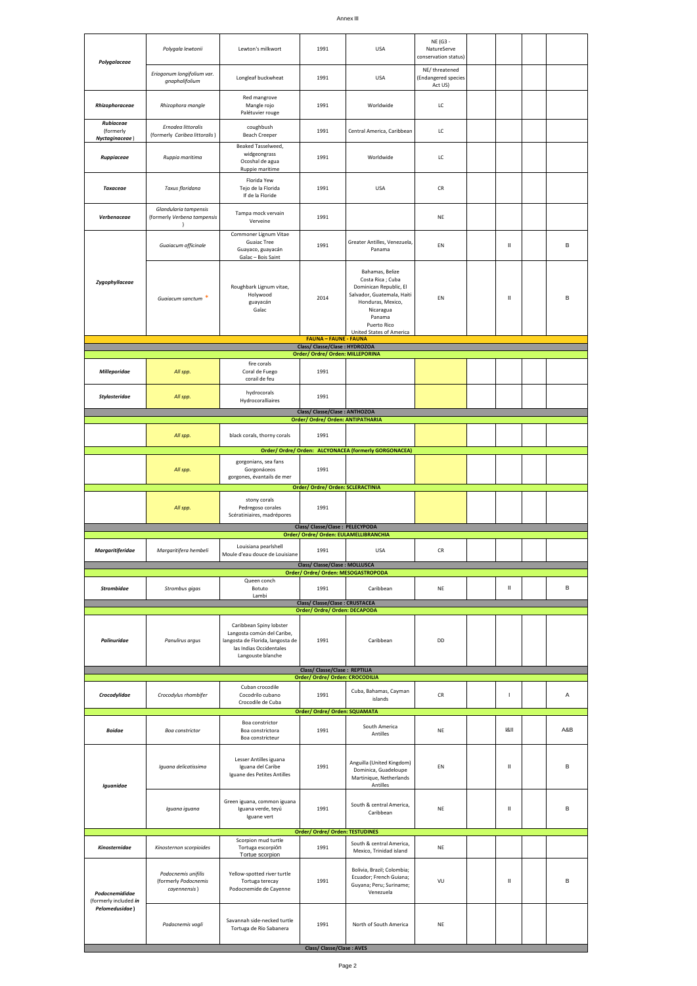|                                          |                                                                   |                                                                                                                                           |                                                                            |                                                                                                                                                                                           | NE (G3 -                                        |                                                                                                                                                                                                                                                                                                                                                                                                   |     |
|------------------------------------------|-------------------------------------------------------------------|-------------------------------------------------------------------------------------------------------------------------------------------|----------------------------------------------------------------------------|-------------------------------------------------------------------------------------------------------------------------------------------------------------------------------------------|-------------------------------------------------|---------------------------------------------------------------------------------------------------------------------------------------------------------------------------------------------------------------------------------------------------------------------------------------------------------------------------------------------------------------------------------------------------|-----|
| Polygalaceae                             | Polygala lewtonii                                                 | Lewton's milkwort                                                                                                                         | 1991                                                                       | <b>USA</b>                                                                                                                                                                                | NatureServe<br>conservation status)             |                                                                                                                                                                                                                                                                                                                                                                                                   |     |
|                                          | Eriogonum longifolium var.<br>gnaphalifolium                      | Longleaf buckwheat                                                                                                                        | 1991                                                                       | <b>USA</b>                                                                                                                                                                                | NE/threatened<br>(Endangered species<br>Act US) |                                                                                                                                                                                                                                                                                                                                                                                                   |     |
| Rhizophoraceae                           | Rhizophora mangle                                                 | Red mangrove<br>Mangle rojo<br>Palétuvier rouge                                                                                           | 1991                                                                       | Worldwide                                                                                                                                                                                 | LC                                              |                                                                                                                                                                                                                                                                                                                                                                                                   |     |
| Rubiaceae<br>(formerly<br>Nyctaginaceae) | Ernodea littoralis<br>(formerly Caribea littoralis)               | coughbush<br><b>Beach Creeper</b>                                                                                                         | 1991                                                                       | Central America, Caribbean                                                                                                                                                                | LC                                              |                                                                                                                                                                                                                                                                                                                                                                                                   |     |
| Ruppiaceae                               | Ruppia maritima                                                   | Beaked Tasselweed,<br>widgeongrass<br>Ocoshal de agua<br>Ruppie maritime                                                                  | 1991                                                                       | Worldwide                                                                                                                                                                                 | LC                                              |                                                                                                                                                                                                                                                                                                                                                                                                   |     |
| Тахасеае                                 | Taxus floridana                                                   | Florida Yew<br>Tejo de la Florida<br>If de la Floride                                                                                     | 1991                                                                       | <b>USA</b>                                                                                                                                                                                | CR                                              |                                                                                                                                                                                                                                                                                                                                                                                                   |     |
| Verbenaceae                              | Glandularia tampensis<br>(formerly Verbena tampensis<br>$\lambda$ | Tampa mock vervain<br>Verveine                                                                                                            | 1991                                                                       |                                                                                                                                                                                           | NE                                              |                                                                                                                                                                                                                                                                                                                                                                                                   |     |
|                                          | Guaiacum officinale                                               | Commoner Lignum Vitae<br><b>Guaiac Tree</b><br>Guayaco, guayacán<br>Gaîac - Bois Saint                                                    | 1991                                                                       | Greater Antilles, Venezuela,<br>Panama                                                                                                                                                    | EN                                              | Ш                                                                                                                                                                                                                                                                                                                                                                                                 | B   |
| Zygophyllaceae                           | Guaiacum sanctum *                                                | Roughbark Lignum vitae,<br>Holywood<br>guayacán<br>Gaîac                                                                                  | 2014                                                                       | Bahamas, Belize<br>Costa Rica; Cuba<br>Dominican Republic, El<br>Salvador, Guatemala, Haiti<br>Honduras, Mexico,<br>Nicaragua<br>Panama<br>Puerto Rico<br><b>United States of America</b> | <b>FN</b>                                       | Ш                                                                                                                                                                                                                                                                                                                                                                                                 | B   |
|                                          |                                                                   |                                                                                                                                           | <b>FAUNA - FAUNE - FAUNA</b><br>Class/ Classe/Clase : HYDROZOA             |                                                                                                                                                                                           |                                                 |                                                                                                                                                                                                                                                                                                                                                                                                   |     |
| <b>Milleporidae</b>                      | All spp.                                                          | fire corals<br>Coral de Fuego<br>corail de feu                                                                                            | Order/ Ordre/ Orden: MILLEPORINA<br>1991                                   |                                                                                                                                                                                           |                                                 |                                                                                                                                                                                                                                                                                                                                                                                                   |     |
| Stylasteridae                            | All spp.                                                          | hydrocorals<br>Hydrocoralliaires                                                                                                          | 1991                                                                       |                                                                                                                                                                                           |                                                 |                                                                                                                                                                                                                                                                                                                                                                                                   |     |
|                                          |                                                                   |                                                                                                                                           | Class/ Classe/Clase: ANTHOZOA                                              |                                                                                                                                                                                           |                                                 |                                                                                                                                                                                                                                                                                                                                                                                                   |     |
|                                          |                                                                   |                                                                                                                                           | Order/ Ordre/ Orden: ANTIPATHARIA                                          |                                                                                                                                                                                           |                                                 |                                                                                                                                                                                                                                                                                                                                                                                                   |     |
|                                          | All spp.                                                          | black corals, thorny corals                                                                                                               | 1991                                                                       | Order/ Ordre/ Orden: ALCYONACEA (formerly GORGONACEA)                                                                                                                                     |                                                 |                                                                                                                                                                                                                                                                                                                                                                                                   |     |
|                                          | All spp.                                                          | gorgonians, sea fans<br>Gorgonáceos<br>gorgones, évantails de mer                                                                         | 1991<br>Order/ Ordre/ Orden: SCLERACTINIA                                  |                                                                                                                                                                                           |                                                 |                                                                                                                                                                                                                                                                                                                                                                                                   |     |
|                                          |                                                                   | stony corals                                                                                                                              |                                                                            |                                                                                                                                                                                           |                                                 |                                                                                                                                                                                                                                                                                                                                                                                                   |     |
|                                          | All spp.                                                          | Pedregoso corales<br>Scératiniaires, madrépores                                                                                           | 1991                                                                       |                                                                                                                                                                                           |                                                 |                                                                                                                                                                                                                                                                                                                                                                                                   |     |
|                                          |                                                                   |                                                                                                                                           | Class/ Classe/Clase : PELECYPODA<br>Order/ Ordre/ Orden: EULAMELLIBRANCHIA |                                                                                                                                                                                           |                                                 |                                                                                                                                                                                                                                                                                                                                                                                                   |     |
| <b>Margaritiferidae</b>                  | Margaritifera hembeli                                             | Louisiana pearlshell<br>Moule d'eau douce de Louisiane                                                                                    | 1991                                                                       | <b>USA</b>                                                                                                                                                                                | CR                                              |                                                                                                                                                                                                                                                                                                                                                                                                   |     |
|                                          |                                                                   |                                                                                                                                           | Class/ Classe/Clase : MOLLUSCA<br>Order/ Ordre/ Orden: MESOGASTROPODA      |                                                                                                                                                                                           |                                                 |                                                                                                                                                                                                                                                                                                                                                                                                   |     |
| <b>Strombidae</b>                        | Strombus gigas                                                    | Queen conch<br>Botuto<br>Lambi                                                                                                            | 1991                                                                       | Caribbean                                                                                                                                                                                 | NE                                              | Ш                                                                                                                                                                                                                                                                                                                                                                                                 | B   |
|                                          |                                                                   |                                                                                                                                           | <b>Class/ Classe/Clase: CRUSTACEA</b><br>Order/ Ordre/ Orden: DECAPODA     |                                                                                                                                                                                           |                                                 |                                                                                                                                                                                                                                                                                                                                                                                                   |     |
| Palinuridae                              | Panulirus argus                                                   | Caribbean Spiny lobster<br>Langosta común del Caribe,<br>langosta de Florida, langosta de<br>las Indias Occidentales<br>Langouste blanche | 1991                                                                       | Caribbean                                                                                                                                                                                 | DD                                              |                                                                                                                                                                                                                                                                                                                                                                                                   |     |
|                                          |                                                                   |                                                                                                                                           | Class/ Classe/Clase: REPTILIA                                              |                                                                                                                                                                                           |                                                 |                                                                                                                                                                                                                                                                                                                                                                                                   |     |
| Crocodylidae                             | Crocodylus rhombifer                                              | Cuban crocodile<br>Cocodrilo cubano<br>Crocodile de Cuba                                                                                  | Order/ Ordre/ Orden: CROCODILIA<br>1991                                    | Cuba, Bahamas, Cayman<br>islands                                                                                                                                                          | CR                                              | $\mathbf{I}$                                                                                                                                                                                                                                                                                                                                                                                      | Α   |
| <b>Boidae</b>                            | Boa constrictor                                                   | Boa constrictor<br>Boa constrictora<br>Boa constricteur                                                                                   | Order/ Ordre/ Orden: SQUAMATA<br>1991                                      | South America<br>Antilles                                                                                                                                                                 | NE                                              | 8                                                                                                                                                                                                                                                                                                                                                                                                 | A&B |
| Iguanidae                                | Iguana delicatissima                                              | Lesser Antilles iguana<br>Iguana del Caribe<br>Iguane des Petites Antilles                                                                | 1991                                                                       | Anguilla (United Kingdom)<br>Dominica, Guadeloupe<br>Martinique, Netherlands<br>Antilles                                                                                                  | EN                                              | Ш                                                                                                                                                                                                                                                                                                                                                                                                 | B   |
|                                          | Iguana iguana                                                     | Green iguana, common iguana<br>Iguana verde, teyú<br>Iguane vert                                                                          | 1991                                                                       | South & central America,<br>Caribbean                                                                                                                                                     | NE                                              | $\mathop{  }% \text{log}(p_{\theta} - p_{\theta}^{\ast})  \leq \frac{1}{\pi} \sum_{i=1}^{\infty} \left( \frac{1}{\pi} \sum_{j=1}^{\infty} \frac{1}{j} \sum_{j=1}^{\infty} \frac{1}{j} \sum_{j=1}^{\infty} \frac{1}{j} \sum_{j=1}^{\infty} \frac{1}{j} \sum_{j=1}^{\infty} \frac{1}{j} \sum_{j=1}^{\infty} \frac{1}{j} \sum_{j=1}^{\infty} \frac{1}{j} \sum_{j=1}^{\infty} \frac{1}{j} \sum_{j=1}$ | B   |
|                                          |                                                                   | Scorpion mud turtle                                                                                                                       | Order/ Ordre/ Orden: TESTUDINES                                            |                                                                                                                                                                                           |                                                 |                                                                                                                                                                                                                                                                                                                                                                                                   |     |
| Kinosternidae                            | Kinosternon scorpioides                                           | Tortuga escorpión<br>Tortue scorpion                                                                                                      | 1991                                                                       | South & central America,<br>Mexico, Trinidad island                                                                                                                                       | NE                                              |                                                                                                                                                                                                                                                                                                                                                                                                   |     |
| Podocnemididae<br>(formerly included in  | Podocnemis unifilis<br>(formerly Podocnemis<br>cayennensis)       | Yellow-spotted river turtle<br>Tortuga terecay<br>Podocnemide de Cayenne                                                                  | 1991                                                                       | Bolivia, Brazil; Colombia;<br>Ecuador; French Guiana;<br>Guyana; Peru; Suriname;<br>Venezuela                                                                                             | VU                                              | Ш                                                                                                                                                                                                                                                                                                                                                                                                 | B   |
| Pelomedusidae)                           | Podocnemis vogli                                                  | Savannah side-necked turtle<br>Tortuga de Río Sabanera                                                                                    | 1991                                                                       | North of South America                                                                                                                                                                    | NE                                              |                                                                                                                                                                                                                                                                                                                                                                                                   |     |